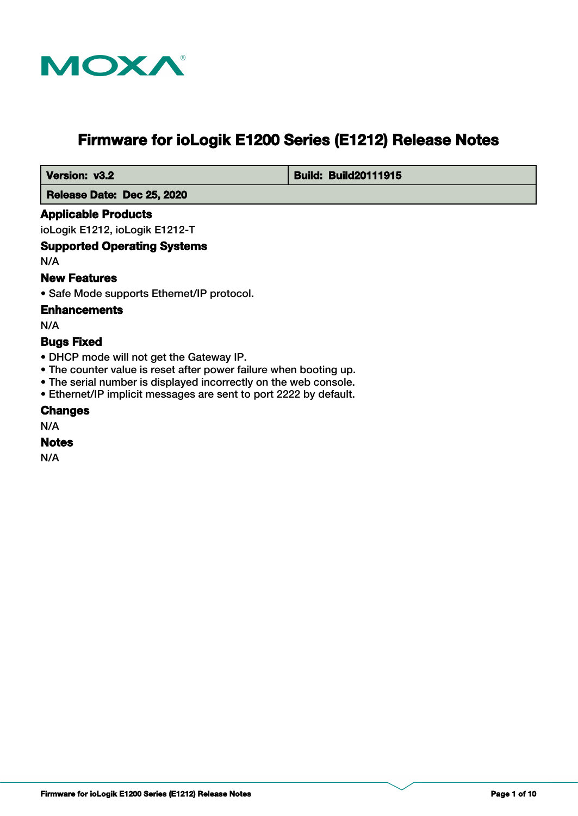

# **Firmware for ioLogik E1200 Series (E1212) Release Notes**

 **Version: v3.2 Build: Build: Build20111915** 

 **Release Date: Dec 25, 2020**

# **Applicable Products**

ioLogik E1212, ioLogik E1212-T

# **Supported Operating Systems**

N/A

# **New Features**

• Safe Mode supports Ethernet/IP protocol.

#### **Enhancements**

N/A

# **Bugs Fixed**

- DHCP mode will not get the Gateway IP.
- The counter value is reset after power failure when booting up.
- The serial number is displayed incorrectly on the web console.
- Ethernet/IP implicit messages are sent to port 2222 by default.

# **Changes**

N/A

#### **Notes**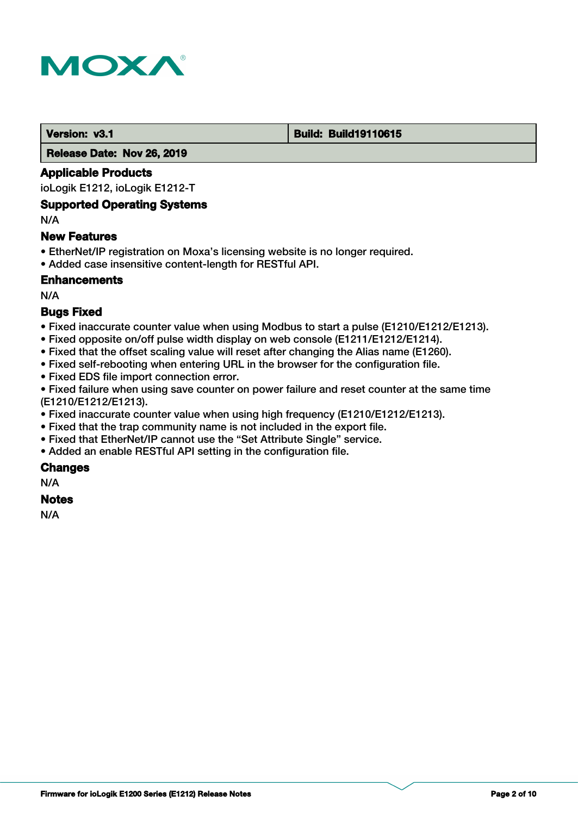

#### **Version: v3.1 Build: Build: Build19110615**

 **Release Date: Nov 26, 2019**

# **Applicable Products**

ioLogik E1212, ioLogik E1212-T

#### **Supported Operating Systems**

N/A

#### **New Features**

- EtherNet/IP registration on Moxa's licensing website is no longer required.
- Added case insensitive content-length for RESTful API.

# **Enhancements**

N/A

# **Bugs Fixed**

- Fixed inaccurate counter value when using Modbus to start a pulse (E1210/E1212/E1213).
- Fixed opposite on/off pulse width display on web console (E1211/E1212/E1214).
- Fixed that the offset scaling value will reset after changing the Alias name (E1260).
- Fixed self-rebooting when entering URL in the browser for the configuration file.
- Fixed EDS file import connection error.

• Fixed failure when using save counter on power failure and reset counter at the same time (E1210/E1212/E1213).

- Fixed inaccurate counter value when using high frequency (E1210/E1212/E1213).
- Fixed that the trap community name is not included in the export file.
- Fixed that EtherNet/IP cannot use the "Set Attribute Single" service.
- Added an enable RESTful API setting in the configuration file.

# **Changes**

N/A

# **Notes**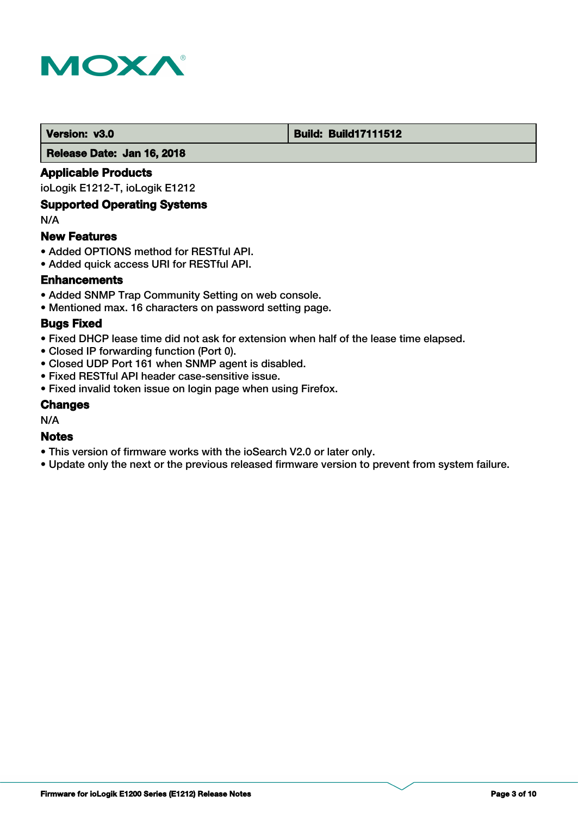

#### **Version: v3.0 Build: Build: Build17111512**

 **Release Date: Jan 16, 2018**

# **Applicable Products**

ioLogik E1212-T, ioLogik E1212

# **Supported Operating Systems**

N/A

#### **New Features**

- Added OPTIONS method for RESTful API.
- Added quick access URI for RESTful API.

# **Enhancements**

- Added SNMP Trap Community Setting on web console.
- Mentioned max. 16 characters on password setting page.

#### **Bugs Fixed**

- Fixed DHCP lease time did not ask for extension when half of the lease time elapsed.
- Closed IP forwarding function (Port 0).
- Closed UDP Port 161 when SNMP agent is disabled.
- Fixed RESTful API header case-sensitive issue.
- Fixed invalid token issue on login page when using Firefox.

#### **Changes**

N/A

# **Notes**

- This version of firmware works with the ioSearch V2.0 or later only.
- Update only the next or the previous released firmware version to prevent from system failure.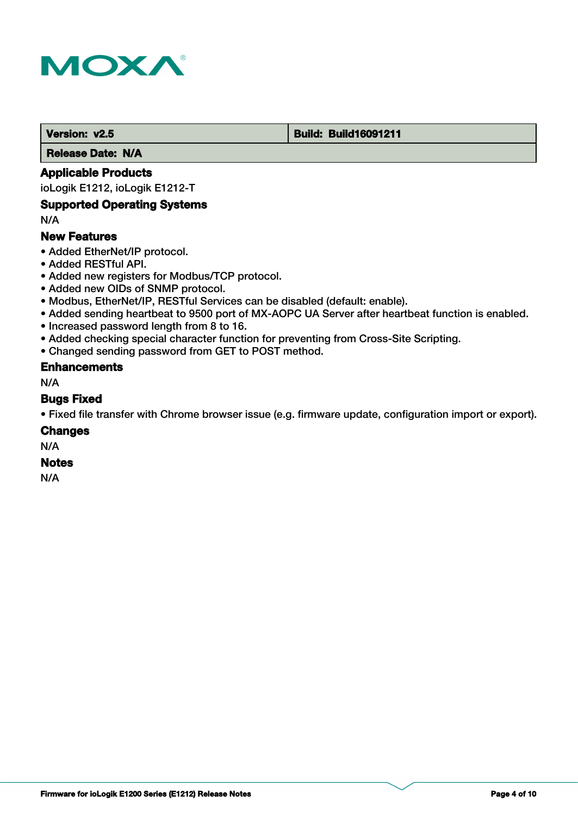

#### **Version: v2.5 Build: Build: Build16091211**

 **Release Date: N/A**

# **Applicable Products**

ioLogik E1212, ioLogik E1212-T

#### **Supported Operating Systems**

N/A

# **New Features**

- Added EtherNet/IP protocol.
- Added RESTful API.
- Added new registers for Modbus/TCP protocol.
- Added new OIDs of SNMP protocol.
- Modbus, EtherNet/IP, RESTful Services can be disabled (default: enable).
- Added sending heartbeat to 9500 port of MX-AOPC UA Server after heartbeat function is enabled.
- Increased password length from 8 to 16.
- Added checking special character function for preventing from Cross-Site Scripting.
- Changed sending password from GET to POST method.

#### **Enhancements**

N/A

#### **Bugs Fixed**

• Fixed file transfer with Chrome browser issue (e.g. firmware update, configuration import or export).

#### **Changes**

N/A

# **Notes**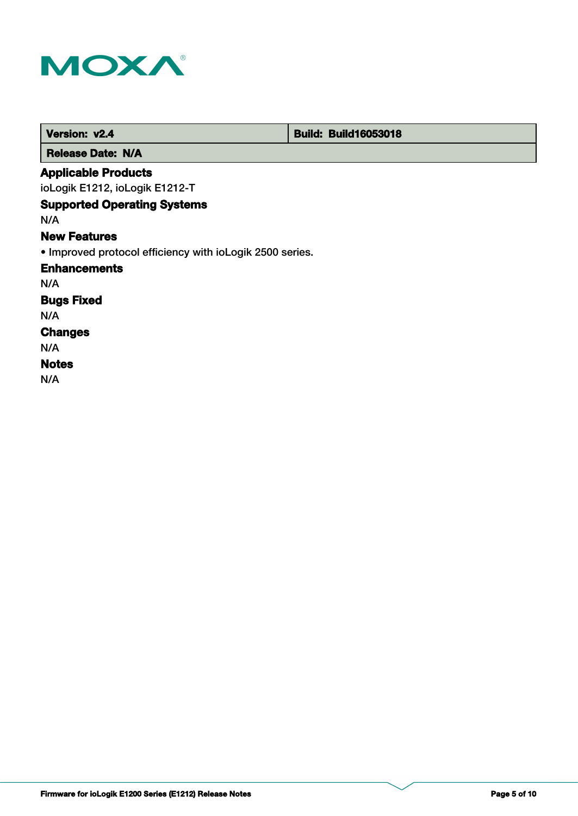

| Version: v2.4                                            |  | <b>Build: Build16053018</b> |
|----------------------------------------------------------|--|-----------------------------|
| <b>Release Date: N/A</b>                                 |  |                             |
| <b>Applicable Products</b>                               |  |                             |
| ioLogik E1212, ioLogik E1212-T                           |  |                             |
| <b>Supported Operating Systems</b>                       |  |                             |
| N/A                                                      |  |                             |
| <b>New Features</b>                                      |  |                             |
| • Improved protocol efficiency with ioLogik 2500 series. |  |                             |
| <b>Enhancements</b>                                      |  |                             |
| N/A                                                      |  |                             |
| <b>Bugs Fixed</b>                                        |  |                             |
| N/A                                                      |  |                             |
| <b>Changes</b>                                           |  |                             |
| N/A                                                      |  |                             |
| <b>Notes</b>                                             |  |                             |
| N/A                                                      |  |                             |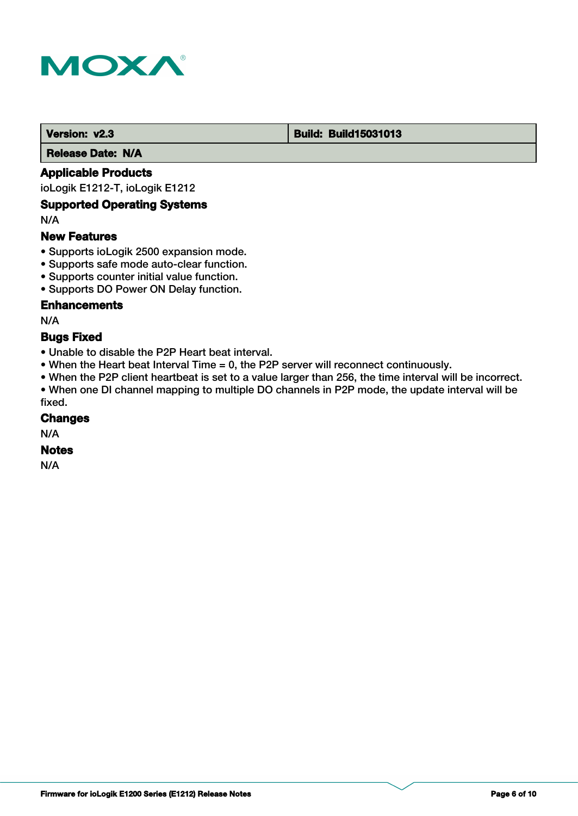

#### **Version: v2.3 Build: Build: Build15031013**

 **Release Date: N/A**

# **Applicable Products**

ioLogik E1212-T, ioLogik E1212

# **Supported Operating Systems**

N/A

# **New Features**

- Supports ioLogik 2500 expansion mode.
- Supports safe mode auto-clear function.
- Supports counter initial value function.
- Supports DO Power ON Delay function.

# **Enhancements**

N/A

#### **Bugs Fixed**

- Unable to disable the P2P Heart beat interval.
- When the Heart beat Interval Time = 0, the P2P server will reconnect continuously.
- When the P2P client heartbeat is set to a value larger than 256, the time interval will be incorrect.

• When one DI channel mapping to multiple DO channels in P2P mode, the update interval will be fixed.

#### **Changes**

N/A

# **Notes**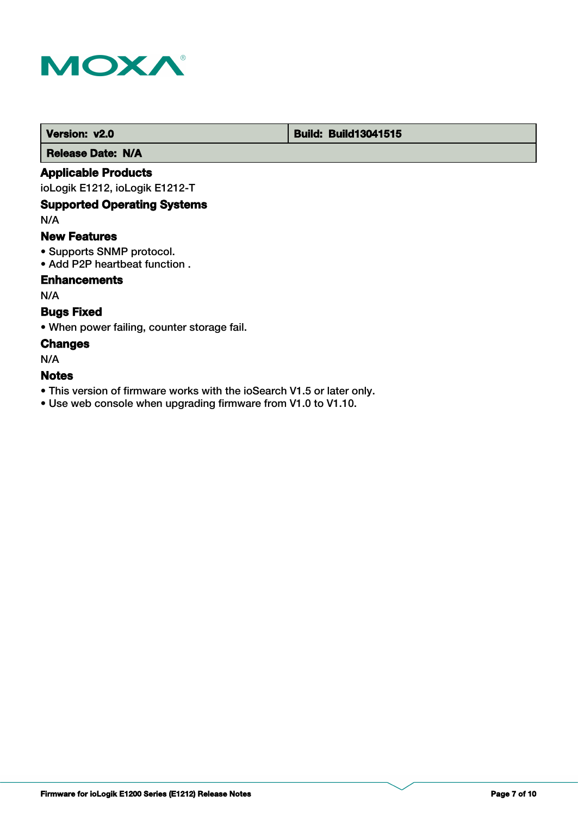

# **Version: v2.0 Build: Build13041515**

 **Release Date: N/A**

# **Applicable Products**

ioLogik E1212, ioLogik E1212-T

# **Supported Operating Systems**

N/A

### **New Features**

- Supports SNMP protocol.
- Add P2P heartbeat function .

# **Enhancements**

N/A

# **Bugs Fixed**

• When power failing, counter storage fail.

#### **Changes**

N/A

# **Notes**

- This version of firmware works with the ioSearch V1.5 or later only.
- Use web console when upgrading firmware from V1.0 to V1.10.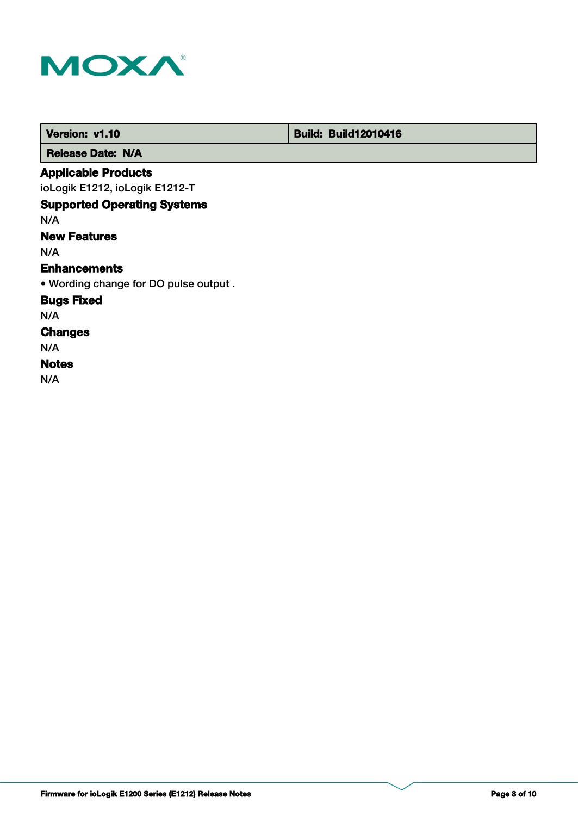

| Version: v1.10                        | <b>Build: Build12010416</b> |
|---------------------------------------|-----------------------------|
| <b>Release Date: N/A</b>              |                             |
| <b>Applicable Products</b>            |                             |
| ioLogik E1212, ioLogik E1212-T        |                             |
| <b>Supported Operating Systems</b>    |                             |
| N/A                                   |                             |
| <b>New Features</b>                   |                             |
| N/A                                   |                             |
| <b>Enhancements</b>                   |                             |
| . Wording change for DO pulse output. |                             |
| <b>Bugs Fixed</b>                     |                             |
| N/A                                   |                             |
| <b>Changes</b>                        |                             |
| N/A                                   |                             |
| <b>Notes</b>                          |                             |
| N/A                                   |                             |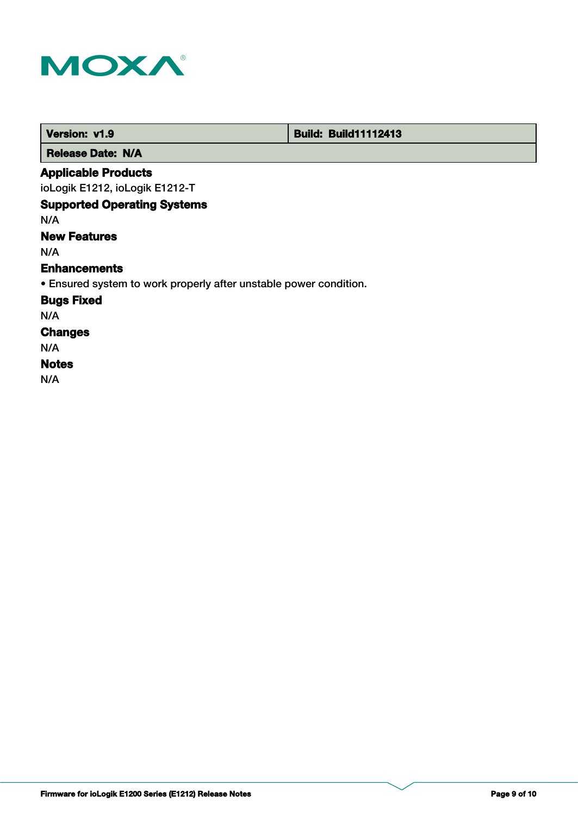

| Version: v1.9                                                     | <b>Build: Build11112413</b> |
|-------------------------------------------------------------------|-----------------------------|
| <b>Release Date: N/A</b>                                          |                             |
| <b>Applicable Products</b>                                        |                             |
| ioLogik E1212, ioLogik E1212-T                                    |                             |
| <b>Supported Operating Systems</b>                                |                             |
| N/A                                                               |                             |
| <b>New Features</b>                                               |                             |
| N/A                                                               |                             |
| <b>Enhancements</b>                                               |                             |
| • Ensured system to work properly after unstable power condition. |                             |
| <b>Bugs Fixed</b>                                                 |                             |
| N/A                                                               |                             |
| <b>Changes</b>                                                    |                             |
| N/A                                                               |                             |
| <b>Notes</b>                                                      |                             |
| N/A                                                               |                             |